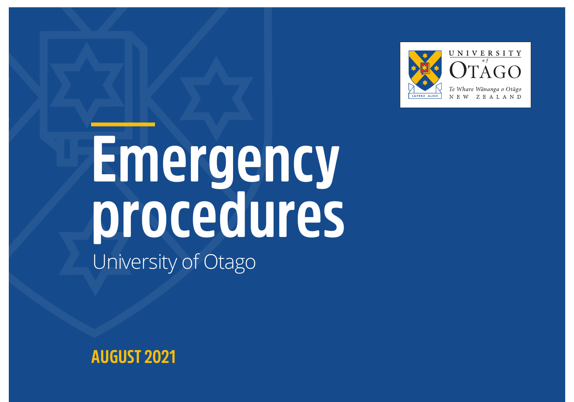

# **Emergency procedures** University of Otago

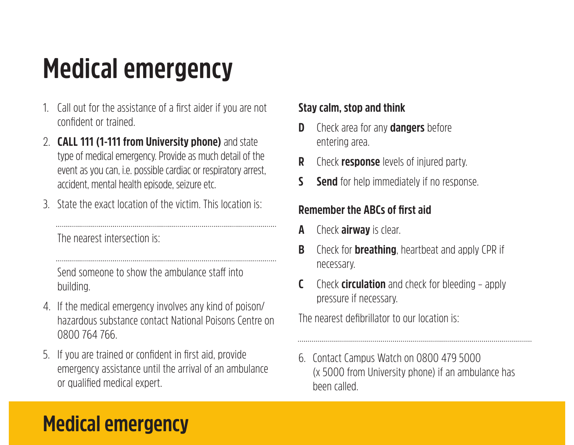## **Medical emergency**

- 1. Call out for the assistance of a first aider if you are not confident or trained.
- 2. **CALL 111 (1-111 from University phone)** and state type of medical emergency. Provide as much detail of the event as you can, i.e. possible cardiac or respiratory arrest, accident, mental health episode, seizure etc.
- 3. State the exact location of the victim. This location is:

The nearest intersection is:

Send someone to show the ambulance staff into building.

- 4. If the medical emergency involves any kind of poison/ hazardous substance contact National Poisons Centre on 0800 764 766.
- 5. If you are trained or confident in first aid, provide emergency assistance until the arrival of an ambulance or qualified medical expert.

#### **Stay calm, stop and think**

- **D** Check area for any **dangers** before entering area.
- **R** Check **response** levels of injured party.
- **S Send** for help immediately if no response.

#### **Remember the ABCs of first aid**

- **A** Check **airway** is clear.
- **B** Check for **breathing**, heartbeat and apply CPR if necessary.
- **C** Check **circulation** and check for bleeding apply pressure if necessary.

The nearest defibrillator to our location is:

6. Contact Campus Watch on 0800 479 5000 (x 5000 from University phone) if an ambulance has been called.

### **Medical emergency**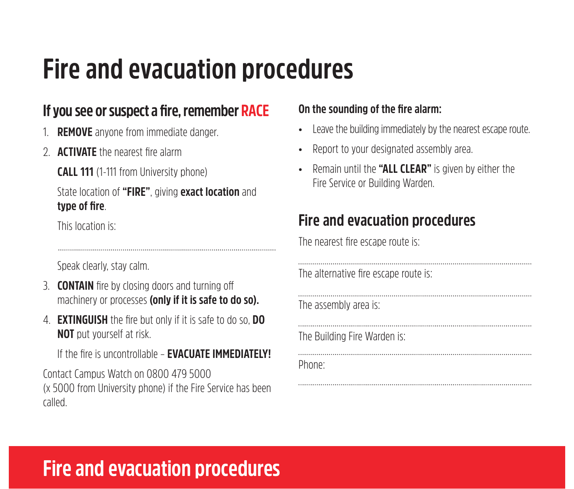### **Fire and evacuation procedures**

#### **If you see or suspect a fire, remember RACE**

- 1. **REMOVE** anyone from immediate danger.
- 2. **ACTIVATE** the nearest fire alarm

**CALL 111** (1-111 from University phone)

#### State location of **"FIRE"**, giving **exact location** and **type of fire**.

This location is:

Speak clearly, stay calm.

- 3. **CONTAIN** fire by closing doors and turning off machinery or processes **(only if it is safe to do so).**
- 4. **EXTINGUISH** the fire but only if it is safe to do so, **DO NOT** put yourself at risk.

If the fire is uncontrollable – **EVACUATE IMMEDIATELY!**

Contact Campus Watch on 0800 479 5000 (x 5000 from University phone) if the Fire Service has been called.

#### **On the sounding of the fire alarm:**

- Leave the building immediately by the nearest escape route.
- Report to your designated assembly area.
- Remain until the **"ALL CLEAR"** is given by either the Fire Service or Building Warden.

#### **Fire and evacuation procedures**

The nearest fire escape route is:

| The alternative fire escape route is: |
|---------------------------------------|
| The assembly area is:                 |
| The Building Fire Warden is:          |
| Phone:                                |

### **Fire and evacuation procedures**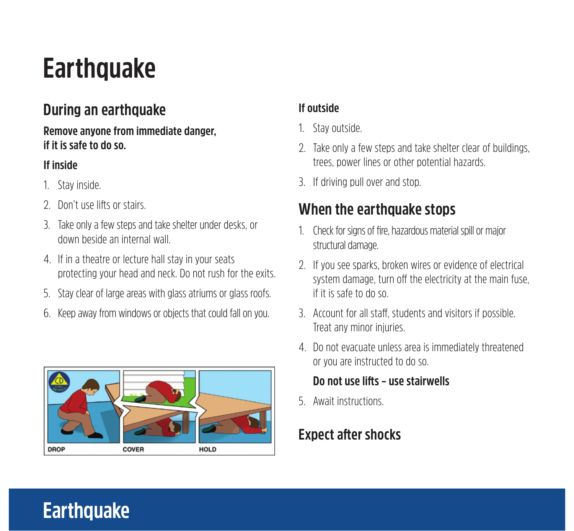### **Earthquake**

#### **During an earthquake**

#### **Remove anyone from immediate danger, if it is safe to do so.**

#### **If inside**

- 1. Stay inside.
- 2. Don't use lifts or stairs.
- 3. Take only a few steps and take shelter under desks, or down beside an internal wall.
- 4. If in a theatre or lecture hall stay in your seats protecting your head and neck. Do not rush for the exits.
- 5. Stay clear of large areas with glass atriums or glass roofs.
- 6. Keep away from windows or objects that could fall on you.



#### **If outside**

- 1. Stay outside.
- 2. Take only a few steps and take shelter clear of buildings, trees, power lines or other potential hazards.
- 3. If driving pull over and stop.

#### **When the earthquake stops**

- 1. Check for signs of fire, hazardous material spill or major structural damage.
- 2. If you see sparks, broken wires or evidence of electrical system damage, turn off the electricity at the main fuse, if it is safe to do so.
- 3. Account for all staff, students and visitors if possible. Treat any minor injuries.
- 4. Do not evacuate unless area is immediately threatened or you are instructed to do so.

#### **Do not use lifts – use stairwells**

5. Await instructions.

#### **Expect after shocks**

### **Earthquake**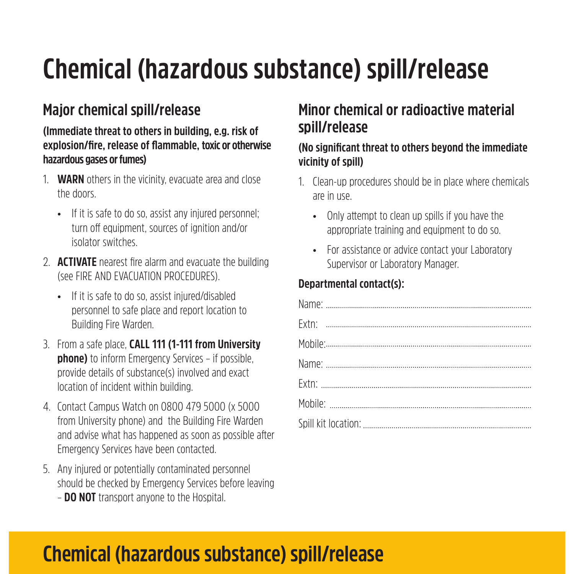## **Chemical (hazardous substance) spill/release**

#### **Major chemical spill/release**

#### **(Immediate threat to others in building, e.g. risk of explosion/fire, release of flammable, toxic or otherwise hazardous gases or fumes)**

- 1. **WARN** others in the vicinity, evacuate area and close the doors.
	- If it is safe to do so, assist any injured personnel: turn off equipment, sources of ignition and/or isolator switches.
- 2. **ACTIVATE** nearest fire alarm and evacuate the building (see FIRE AND EVACUATION PROCEDURES).
	- If it is safe to do so, assist injured/disabled personnel to safe place and report location to Building Fire Warden.
- 3. From a safe place, **CALL 111 (1-111 from University phone)** to inform Emergency Services – if possible, provide details of substance(s) involved and exact location of incident within building.
- 4. Contact Campus Watch on 0800 479 5000 (x 5000 from University phone) and the Building Fire Warden and advise what has happened as soon as possible after Emergency Services have been contacted.
- 5. Any injured or potentially contaminated personnel should be checked by Emergency Services before leaving – **DO NOT** transport anyone to the Hospital.

#### **Minor chemical or radioactive material spill/release**

#### **(No significant threat to others beyond the immediate vicinity of spill)**

- 1. Clean-up procedures should be in place where chemicals are in use.
	- Only attempt to clean up spills if you have the appropriate training and equipment to do so.
	- For assistance or advice contact your Laboratory Supervisor or Laboratory Manager.

#### **Departmental contact(s):**

### **Chemical (hazardous substance) spill/release**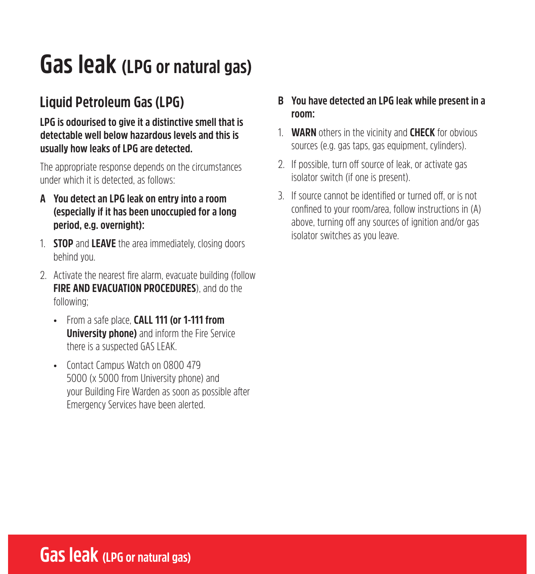### **Gas leak (LPG or natural gas)**

#### **Liquid Petroleum Gas (LPG)**

**LPG is odourised to give it a distinctive smell that is detectable well below hazardous levels and this is usually how leaks of LPG are detected.**

The appropriate response depends on the circumstances under which it is detected, as follows:

- **A You detect an LPG leak on entry into a room (especially if it has been unoccupied for a long period, e.g. overnight):**
- 1. **STOP** and **LEAVE** the area immediately, closing doors behind you.
- 2. Activate the nearest fire alarm, evacuate building (follow **FIRE AND EVACUATION PROCEDURES)**, and do the following;
	- From a safe place, **CALL 111 (or 1-111 from University phone)** and inform the Fire Service there is a suspected GAS LEAK.
	- Contact Campus Watch on 0800 479 5000 (x 5000 from University phone) and your Building Fire Warden as soon as possible after Emergency Services have been alerted.
- **B You have detected an LPG leak while present in a room:**
- 1. **WARN** others in the vicinity and **CHECK** for obvious sources (e.g. gas taps, gas equipment, cylinders).
- 2. If possible, turn off source of leak, or activate gas isolator switch (if one is present).
- 3. If source cannot be identified or turned off, or is not confined to your room/area, follow instructions in (A) above, turning off any sources of ignition and/or gas isolator switches as you leave.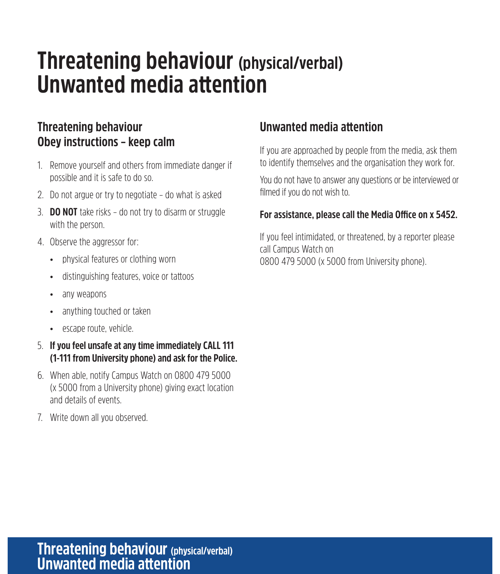### **Threatening behaviour (physical/verbal) Unwanted media attention**

#### **Threatening behaviour Obey instructions – keep calm**

- 1. Remove yourself and others from immediate danger if possible and it is safe to do so.
- 2. Do not argue or try to negotiate do what is asked
- 3. **DO NOT** take risks do not try to disarm or struggle with the person.
- 4. Observe the aggressor for:
	- physical features or clothing worn
	- distinguishing features, voice or tattoos
	- any weapons
	- anything touched or taken
	- escape route, vehicle.
- 5. **If you feel unsafe at any time immediately CALL 111 (1-111 from University phone) and ask for the Police.**
- 6. When able, notify Campus Watch on 0800 479 5000 (x 5000 from a University phone) giving exact location and details of events.
- 7. Write down all you observed.

#### **Unwanted media attention**

If you are approached by people from the media, ask them to identify themselves and the organisation they work for.

You do not have to answer any questions or be interviewed or filmed if you do not wish to.

#### **For assistance, please call the Media Office on x 5452.**

If you feel intimidated, or threatened, by a reporter please call Campus Watch on 0800 479 5000 (x 5000 from University phone).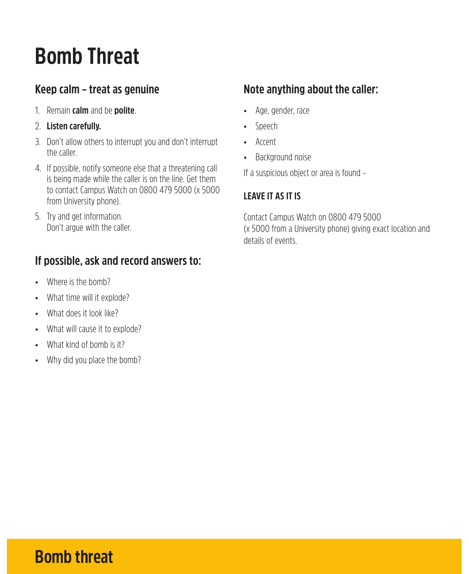## **Bomb Threat**

#### **Keep calm – treat as genuine**

- 1. Remain **calm** and be **polite**.
- 2. **Listen carefully.**
- 3. Don't allow others to interrupt you and don't interrupt the caller.
- 4. If possible, notify someone else that a threatening call is being made while the caller is on the line. Get them to contact Campus Watch on 0800 479 5000 (x 5000 from University phone).
- 5. Try and get information. Don't argue with the caller.

#### **If possible, ask and record answers to:**

- Where is the bomb?
- What time will it explode?
- What does it look like?
- What will cause it to explode?
- What kind of bomb is it?
- Why did you place the bomb?

#### **Note anything about the caller:**

- Age, gender, race
- Speech
- Accent
- Background noise

If a suspicious object or area is found –

#### **LEAVE IT AS IT IS**

Contact Campus Watch on 0800 479 5000 (x 5000 from a University phone) giving exact location and details of events.

### **Bomb threat**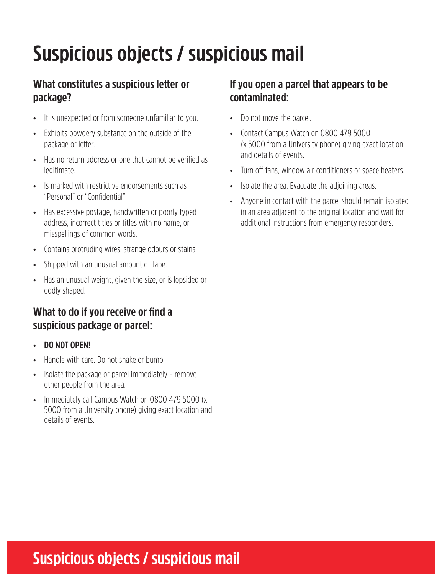## **Suspicious objects / suspicious mail**

#### **What constitutes a suspicious letter or package?**

- It is unexpected or from someone unfamiliar to you.
- Exhibits powdery substance on the outside of the package or letter.
- Has no return address or one that cannot be verified as legitimate.
- Is marked with restrictive endorsements such as "Personal" or "Confidential".
- Has excessive postage, handwritten or poorly typed address, incorrect titles or titles with no name, or misspellings of common words.
- Contains protruding wires, strange odours or stains.
- Shipped with an unusual amount of tape.
- Has an unusual weight, given the size, or is lopsided or oddly shaped.

#### **What to do if you receive or find a suspicious package or parcel:**

- **DO NOT OPEN!**
- Handle with care. Do not shake or bump.
- Isolate the package or parcel immediately remove other people from the area.
- Immediately call Campus Watch on 0800 479 5000 (x 5000 from a University phone) giving exact location and details of events.

#### **If you open a parcel that appears to be contaminated:**

- Do not move the parcel.
- Contact Campus Watch on 0800 479 5000 (x 5000 from a University phone) giving exact location and details of events.
- Turn off fans, window air conditioners or space heaters.
- Isolate the area. Evacuate the adjoining areas.
- Anyone in contact with the parcel should remain isolated in an area adjacent to the original location and wait for additional instructions from emergency responders.

### **Suspicious objects / suspicious mail**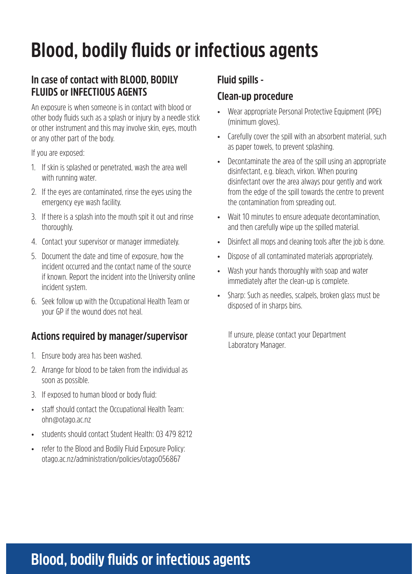## **Blood, bodily fluids or infectious agents**

#### **In case of contact with BLOOD, BODILY FLUIDS or INFECTIOUS AGENTS**

An exposure is when someone is in contact with blood or other body fluids such as a splash or injury by a needle stick or other instrument and this may involve skin, eyes, mouth or any other part of the body.

If you are exposed:

- 1. If skin is splashed or penetrated, wash the area well with running water.
- 2. If the eyes are contaminated, rinse the eyes using the emergency eye wash facility.
- 3. If there is a splash into the mouth spit it out and rinse thoroughly.
- 4. Contact your supervisor or manager immediately.
- 5. Document the date and time of exposure, how the incident occurred and the contact name of the source if known. Report the incident into the University online incident system.
- 6. Seek follow up with the Occupational Health Team or your GP if the wound does not heal.

#### **Actions required by manager/supervisor**

- 1. Ensure body area has been washed.
- 2. Arrange for blood to be taken from the individual as soon as possible.
- 3. If exposed to human blood or body fluid:
- staff should contact the Occupational Health Team: ohn@otago.ac.nz
- students should contact Student Health: 03 479 8212
- refer to the Blood and Bodily Fluid Exposure Policy: otago.ac.nz/administration/policies/otago056867

#### **Fluid spills -**

#### **Clean-up procedure**

- Wear appropriate Personal Protective Equipment (PPE) (minimum gloves).
- Carefully cover the spill with an absorbent material, such as paper towels, to prevent splashing.
- Decontaminate the area of the spill using an appropriate disinfectant, e.g. bleach, virkon. When pouring disinfectant over the area always pour gently and work from the edge of the spill towards the centre to prevent the contamination from spreading out.
- Wait 10 minutes to ensure adequate decontamination, and then carefully wipe up the spilled material.
- Disinfect all mops and cleaning tools after the job is done.
- Dispose of all contaminated materials appropriately.
- Wash your hands thoroughly with soap and water immediately after the clean-up is complete.
- Sharp: Such as needles, scalpels, broken glass must be disposed of in sharps bins.

If unsure, please contact your Department Laboratory Manager.

### **Blood, bodily fluids or infectious agents**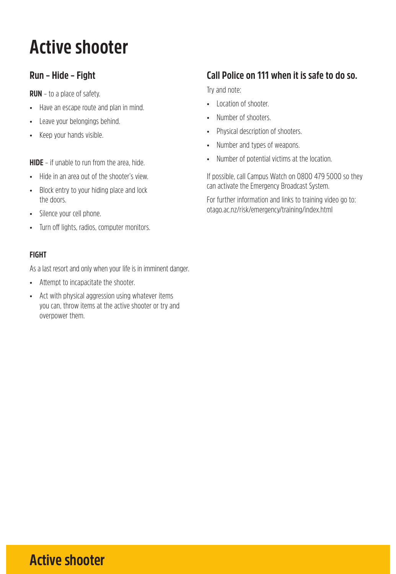## **Active shooter**

#### **Run – Hide – Fight**

**RUN** – to a place of safety.

- Have an escape route and plan in mind.
- Leave your belongings behind.
- Keep your hands visible.

**HIDE** – if unable to run from the area, hide.

- Hide in an area out of the shooter's view
- Block entry to your hiding place and lock the doors.
- Silence your cell phone.
- Turn off lights, radios, computer monitors.

#### **FIGHT**

As a last resort and only when your life is in imminent danger.

- Attempt to incapacitate the shooter.
- Act with physical aggression using whatever items you can, throw items at the active shooter or try and overpower them.

#### **Call Police on 111 when it is safe to do so.**

Try and note:

- Location of shooter.
- Number of shooters.
- Physical description of shooters.
- Number and types of weapons.
- Number of potential victims at the location.

If possible, call Campus Watch on 0800 479 5000 so they can activate the Emergency Broadcast System.

For further information and links to training video go to: otago.ac.nz/risk/emergency/training/index.html

### **Active shooter**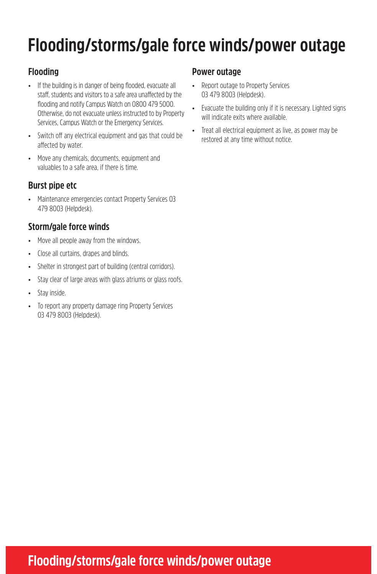## **Flooding/storms/gale force winds/power outage**

#### **Flooding**

- If the building is in danger of being flooded, evacuate all staff, students and visitors to a safe area unaffected by the flooding and notify Campus Watch on 0800 479 5000. Otherwise, do not evacuate unless instructed to by Property Services, Campus Watch or the Emergency Services.
- Switch off any electrical equipment and gas that could be affected by water.
- Move any chemicals, documents, equipment and valuables to a safe area, if there is time.

#### **Burst pipe etc**

• Maintenance emergencies contact Property Services 03 479 8003 (Helpdesk).

#### **Storm/gale force winds**

- Move all people away from the windows.
- Close all curtains, drapes and blinds.
- Shelter in strongest part of building (central corridors).
- Stay clear of large areas with glass atriums or glass roofs.
- Stay inside.
- To report any property damage ring Property Services 03 479 8003 (Helpdesk).

#### **Power outage**

- Report outage to Property Services 03 479 8003 (Helpdesk).
- Evacuate the building only if it is necessary. Lighted signs will indicate exits where available.
- Treat all electrical equipment as live, as power may be restored at any time without notice.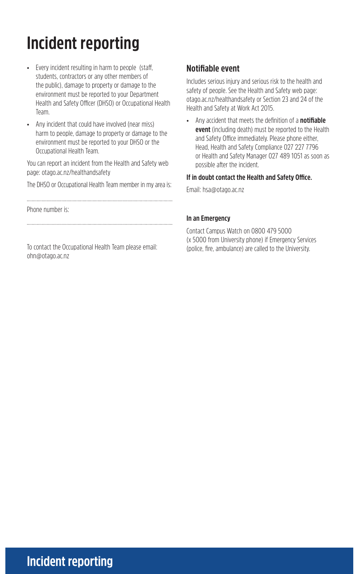## **Incident reporting**

- Every incident resulting in harm to people (staff, students, contractors or any other members of the public), damage to property or damage to the environment must be reported to your Department Health and Safety Officer (DHSO) or Occupational Health Team.
- Any incident that could have involved (near miss) harm to people, damage to property or damage to the environment must be reported to your DHSO or the Occupational Health Team.

You can report an incident from the Health and Safety web page: otago.ac.nz/healthandsafety

The DHSO or Occupational Health Team member in my area is:

Phone number is:

To contact the Occupational Health Team please email: ohn@otago.ac.nz

#### **Notifiable event**

Includes serious injury and serious risk to the health and safety of people. See the Health and Safety web page: otago.ac.nz/healthandsafety or Section 23 and 24 of the Health and Safety at Work Act 2015.

• Any accident that meets the definition of a **notifiable event** (including death) must be reported to the Health and Safety Office immediately. Please phone either, Head, Health and Safety Compliance 027 227 7796 or Health and Safety Manager 027 489 1051 as soon as possible after the incident.

#### **If in doubt contact the Health and Safety Office.**

Email: hsa@otago.ac.nz

#### **In an Emergency**

Contact Campus Watch on 0800 479 5000 (x 5000 from University phone) if Emergency Services (police, fire, ambulance) are called to the University.